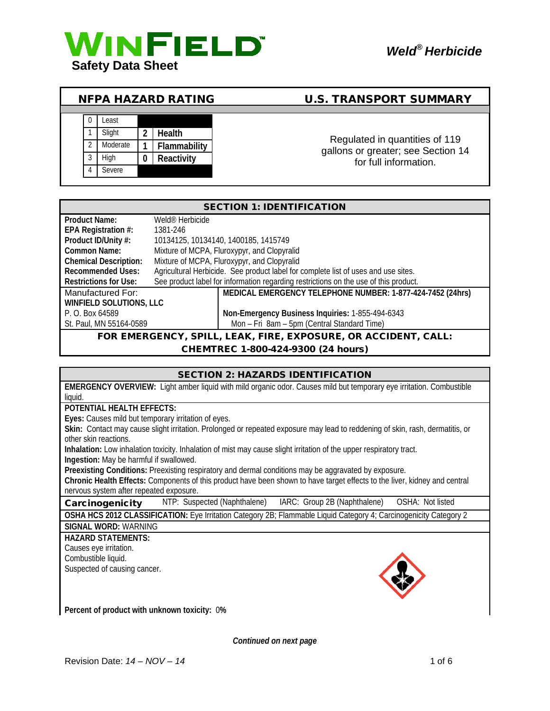

# NFPA HAZARD RATING U.S. TRANSPORT SUMMARY

# 0 Least 1 Slight **2 Health** 2 Moderate **1 Flammability** 3 High **0 Reactivity** 4 Severe

Regulated in quantities of 119 gallons or greater; see Section 14 for full information.

| <b>SECTION 1: IDENTIFICATION</b>                                    |                                                                                      |  |  |
|---------------------------------------------------------------------|--------------------------------------------------------------------------------------|--|--|
| <b>Product Name:</b>                                                | Weld <sup>®</sup> Herbicide                                                          |  |  |
| EPA Registration #:                                                 | 1381-246                                                                             |  |  |
| Product ID/Unity #:                                                 | 10134125, 10134140, 1400185, 1415749                                                 |  |  |
| Common Name:                                                        | Mixture of MCPA, Fluroxypyr, and Clopyralid                                          |  |  |
| <b>Chemical Description:</b>                                        | Mixture of MCPA, Fluroxypyr, and Clopyralid                                          |  |  |
| <b>Recommended Uses:</b>                                            | Agricultural Herbicide. See product label for complete list of uses and use sites.   |  |  |
| <b>Restrictions for Use:</b>                                        | See product label for information regarding restrictions on the use of this product. |  |  |
| Manufactured For:                                                   | MEDICAL EMERGENCY TELEPHONE NUMBER: 1-877-424-7452 (24hrs)                           |  |  |
| WINFIELD SOLUTIONS, LLC                                             |                                                                                      |  |  |
| P. O. Box 64589                                                     | Non-Emergency Business Inquiries: 1-855-494-6343                                     |  |  |
| St. Paul, MN 55164-0589                                             | Mon - Fri 8am - 5pm (Central Standard Time)                                          |  |  |
| FOR EMERGENCY, SPILL, LEAK, FIRE, EXPOSURE, OR ACCIDENT, CALL:<br>. |                                                                                      |  |  |

## CHEMTREC 1-800-424-9300 (24 hours)

#### SECTION 2: HAZARDS IDENTIFICATION

**EMERGENCY OVERVIEW:** Light amber liquid with mild organic odor. Causes mild but temporary eye irritation. Combustible liquid.

#### **POTENTIAL HEALTH EFFECTS:**

**Eyes:** Causes mild but temporary irritation of eyes.

**Skin:** Contact may cause slight irritation. Prolonged or repeated exposure may lead to reddening of skin, rash, dermatitis, or other skin reactions.

**Inhalation:** Low inhalation toxicity. Inhalation of mist may cause slight irritation of the upper respiratory tract. **Ingestion:** May be harmful if swallowed.

**Preexisting Conditions:** Preexisting respiratory and dermal conditions may be aggravated by exposure. **Chronic Health Effects:** Components of this product have been shown to have target effects to the liver, kidney and central nervous system after repeated exposure.

Carcinogenicity NTP: Suspected (Naphthalene) IARC: Group 2B (Naphthalene) OSHA: Not listed

**OSHA HCS 2012 CLASSIFICATION:** Eye Irritation Category 2B; Flammable Liquid Category 4; Carcinogenicity Category 2 **SIGNAL WORD:** WARNING

# **HAZARD STATEMENTS:**

Causes eye irritation. Combustible liquid. Suspected of causing cancer.



**Percent of product with unknown toxicity:** 0**%**

*Continued on next page*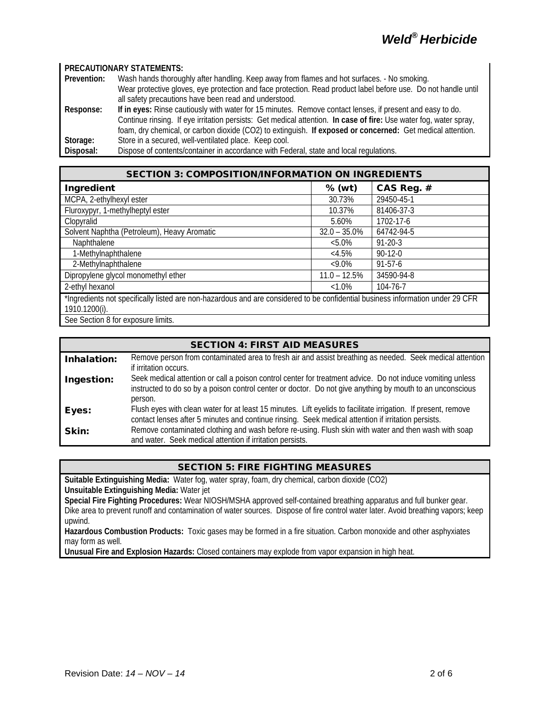#### **PRECAUTIONARY STATEMENTS:**

| Prevention: | Wash hands thoroughly after handling. Keep away from flames and hot surfaces. - No smoking.                       |  |  |
|-------------|-------------------------------------------------------------------------------------------------------------------|--|--|
|             | Wear protective gloves, eye protection and face protection. Read product label before use. Do not handle until    |  |  |
|             | all safety precautions have been read and understood.                                                             |  |  |
| Response:   | If in eyes: Rinse cautiously with water for 15 minutes. Remove contact lenses, if present and easy to do.         |  |  |
|             | Continue rinsing. If eye irritation persists: Get medical attention. In case of fire: Use water fog, water spray, |  |  |
|             | foam, dry chemical, or carbon dioxide (CO2) to extinguish. If exposed or concerned: Get medical attention.        |  |  |
| Storage:    | Store in a secured, well-ventilated place. Keep cool.                                                             |  |  |
| Disposal:   | Dispose of contents/container in accordance with Federal, state and local regulations.                            |  |  |

| <b>SECTION 3: COMPOSITION/INFORMATION ON INGREDIENTS</b>                                                                                        |                 |               |  |
|-------------------------------------------------------------------------------------------------------------------------------------------------|-----------------|---------------|--|
| Ingredient                                                                                                                                      | $%$ (wt)        | CAS Reg. #    |  |
| MCPA, 2-ethylhexyl ester                                                                                                                        | 30.73%          | 29450-45-1    |  |
| Fluroxypyr, 1-methylheptyl ester                                                                                                                | 10.37%          | 81406-37-3    |  |
| Clopyralid                                                                                                                                      | 5.60%           | 1702-17-6     |  |
| Solvent Naphtha (Petroleum), Heavy Aromatic                                                                                                     | $32.0 - 35.0\%$ | 64742-94-5    |  |
| Naphthalene                                                                                                                                     | $< 5.0\%$       | $91 - 20 - 3$ |  |
| 1-Methylnaphthalene                                                                                                                             | <4.5%           | $90-12-0$     |  |
| 2-Methylnaphthalene                                                                                                                             | $<9.0\%$        | $91 - 57 - 6$ |  |
| Dipropylene glycol monomethyl ether                                                                                                             | $11.0 - 12.5%$  | 34590-94-8    |  |
| 2-ethyl hexanol                                                                                                                                 | $<1.0\%$        | 104-76-7      |  |
| *Ingredients not specifically listed are non-hazardous and are considered to be confidential business information under 29 CFR<br>1910.1200(i). |                 |               |  |

See Section 8 for exposure limits.

| <b>SECTION 4: FIRST AID MEASURES</b> |
|--------------------------------------|
|--------------------------------------|

| Inhalation: | Remove person from contaminated area to fresh air and assist breathing as needed. Seek medical attention       |  |  |
|-------------|----------------------------------------------------------------------------------------------------------------|--|--|
|             | if irritation occurs.                                                                                          |  |  |
| Ingestion:  | Seek medical attention or call a poison control center for treatment advice. Do not induce vomiting unless     |  |  |
|             | instructed to do so by a poison control center or doctor. Do not give anything by mouth to an unconscious      |  |  |
|             | person.                                                                                                        |  |  |
| Eyes:       | Flush eyes with clean water for at least 15 minutes. Lift eyelids to facilitate irrigation. If present, remove |  |  |
|             | contact lenses after 5 minutes and continue rinsing. Seek medical attention if irritation persists.            |  |  |
| Skin:       | Remove contaminated clothing and wash before re-using. Flush skin with water and then wash with soap           |  |  |
|             | and water. Seek medical attention if irritation persists.                                                      |  |  |

#### SECTION 5: FIRE FIGHTING MEASURES

**Suitable Extinguishing Media:** Water fog, water spray, foam, dry chemical, carbon dioxide (CO2) **Unsuitable Extinguishing Media:** Water jet

**Special Fire Fighting Procedures:** Wear NIOSH/MSHA approved self-contained breathing apparatus and full bunker gear. Dike area to prevent runoff and contamination of water sources. Dispose of fire control water later. Avoid breathing vapors; keep upwind.

**Hazardous Combustion Products:** Toxic gases may be formed in a fire situation. Carbon monoxide and other asphyxiates may form as well.

**Unusual Fire and Explosion Hazards:** Closed containers may explode from vapor expansion in high heat.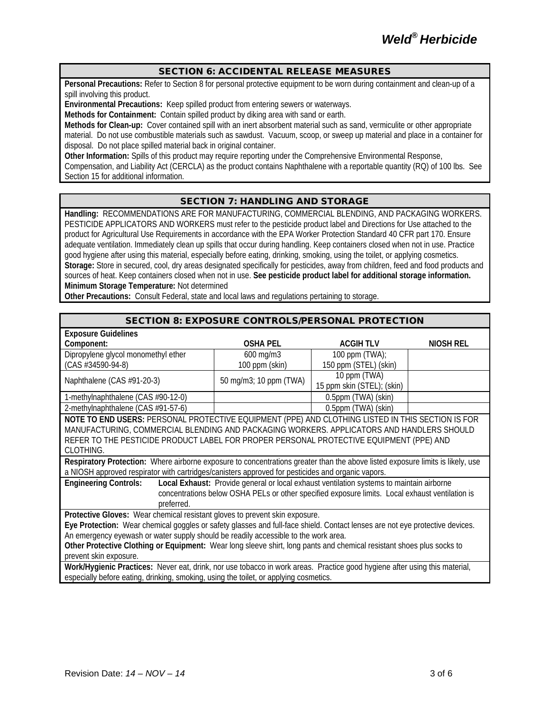#### SECTION 6: ACCIDENTAL RELEASE MEASURES

**Personal Precautions:** Refer to Section 8 for personal protective equipment to be worn during containment and clean-up of a spill involving this product.

**Environmental Precautions:** Keep spilled product from entering sewers or waterways.

**Methods for Containment:** Contain spilled product by diking area with sand or earth.

**Methods for Clean-up:** Cover contained spill with an inert absorbent material such as sand, vermiculite or other appropriate material. Do not use combustible materials such as sawdust. Vacuum, scoop, or sweep up material and place in a container for disposal. Do not place spilled material back in original container.

**Other Information:** Spills of this product may require reporting under the Comprehensive Environmental Response,

Compensation, and Liability Act (CERCLA) as the product contains Naphthalene with a reportable quantity (RQ) of 100 lbs. See Section 15 for additional information.

## SECTION 7: HANDLING AND STORAGE

**Handling:** RECOMMENDATIONS ARE FOR MANUFACTURING, COMMERCIAL BLENDING, AND PACKAGING WORKERS. PESTICIDE APPLICATORS AND WORKERS must refer to the pesticide product label and Directions for Use attached to the product for Agricultural Use Requirements in accordance with the EPA Worker Protection Standard 40 CFR part 170. Ensure adequate ventilation. Immediately clean up spills that occur during handling. Keep containers closed when not in use. Practice good hygiene after using this material, especially before eating, drinking, smoking, using the toilet, or applying cosmetics. **Storage:** Store in secured, cool, dry areas designated specifically for pesticides, away from children, feed and food products and sources of heat. Keep containers closed when not in use. **See pesticide product label for additional storage information. Minimum Storage Temperature:** Not determined

**Other Precautions:** Consult Federal, state and local laws and regulations pertaining to storage.

| <b>SECTION 8: EXPOSURE CONTROLS/PERSONAL PROTECTION</b>                                                                        |                        |                            |                  |
|--------------------------------------------------------------------------------------------------------------------------------|------------------------|----------------------------|------------------|
| <b>Exposure Guidelines</b>                                                                                                     |                        |                            |                  |
| Component:                                                                                                                     | <b>OSHA PEL</b>        | <b>ACGIHTLV</b>            | <b>NIOSH REL</b> |
| Dipropylene glycol monomethyl ether                                                                                            | 600 mg/m3              | 100 ppm $(TWA)$ ;          |                  |
| $(CAS #34590-94-8)$                                                                                                            | 100 ppm (skin)         | 150 ppm (STEL) (skin)      |                  |
| Naphthalene (CAS #91-20-3)                                                                                                     | 50 mg/m3; 10 ppm (TWA) | 10 ppm (TWA)               |                  |
|                                                                                                                                |                        | 15 ppm skin (STEL); (skin) |                  |
| 1-methylnaphthalene (CAS #90-12-0)                                                                                             |                        | 0.5ppm (TWA) (skin)        |                  |
| 2-methylnaphthalene (CAS #91-57-6)                                                                                             |                        | 0.5ppm (TWA) (skin)        |                  |
| NOTE TO END USERS: PERSONAL PROTECTIVE EQUIPMENT (PPE) AND CLOTHING LISTED IN THIS SECTION IS FOR                              |                        |                            |                  |
| MANUFACTURING, COMMERCIAL BLENDING AND PACKAGING WORKERS. APPLICATORS AND HANDLERS SHOULD                                      |                        |                            |                  |
| REFER TO THE PESTICIDE PRODUCT LABEL FOR PROPER PERSONAL PROTECTIVE EQUIPMENT (PPE) AND                                        |                        |                            |                  |
| CLOTHING.                                                                                                                      |                        |                            |                  |
| Respiratory Protection: Where airborne exposure to concentrations greater than the above listed exposure limits is likely, use |                        |                            |                  |
| a NIOSH approved respirator with cartridges/canisters approved for pesticides and organic vapors.                              |                        |                            |                  |
| Local Exhaust: Provide general or local exhaust ventilation systems to maintain airborne<br><b>Engineering Controls:</b>       |                        |                            |                  |
| concentrations below OSHA PELs or other specified exposure limits. Local exhaust ventilation is                                |                        |                            |                  |
| preferred.                                                                                                                     |                        |                            |                  |
| Protective Gloves: Wear chemical resistant gloves to prevent skin exposure.                                                    |                        |                            |                  |
| Eye Protection: Wear chemical goggles or safety glasses and full-face shield. Contact lenses are not eye protective devices.   |                        |                            |                  |
| An emergency eyewash or water supply should be readily accessible to the work area.                                            |                        |                            |                  |
| Other Protective Clothing or Equipment: Wear long sleeve shirt, long pants and chemical resistant shoes plus socks to          |                        |                            |                  |
| prevent skin exposure.                                                                                                         |                        |                            |                  |
| Work/Hygienic Practices: Never eat, drink, nor use tobacco in work areas. Practice good hygiene after using this material,     |                        |                            |                  |
| especially before eating, drinking, smoking, using the toilet, or applying cosmetics.                                          |                        |                            |                  |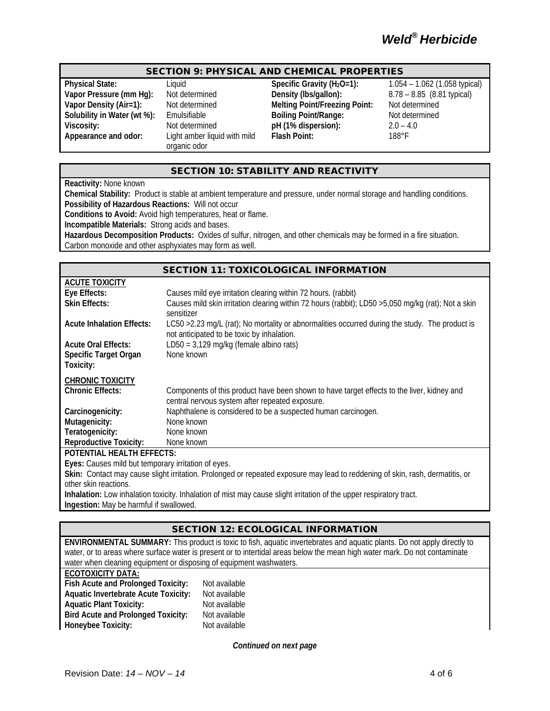#### SECTION 9: PHYSICAL AND CHEMICAL PROPERTIES

**Solubility in Water (wt %):** Emulsifiable **Boiling Point/Range: Appearance and odor:** Light amber liquid with mild

organic odor

**Physical State:** Liquid Liquid Specific Gravity (H<sub>2</sub>O=1): 1.054 – 1.062 (1.058 typical)<br> **Vapor Pressure (mm Hg):** Not determined Density (Ibs/gallon): 8.78 – 8.85 (8.81 typical) **Vapor Density (Air=1):** Not determined **Melting Point/Freezing Point:** Not determined<br> **Solubility in Water (wt %):** Emulsifiable **Boiling Point/Range:** Not determined **Viscosity:** Not determined **pH (1% dispersion):** 2.0 – 4.0 **Flash Point:** 188°F

8.78 – 8.85 (8.81 typical)

### SECTION 10: STABILITY AND REACTIVITY

**Reactivity:** None known

**Chemical Stability:** Product is stable at ambient temperature and pressure, under normal storage and handling conditions. **Possibility of Hazardous Reactions:** Will not occur

**Conditions to Avoid:** Avoid high temperatures, heat or flame.

**Incompatible Materials:** Strong acids and bases.

**Hazardous Decomposition Products:** Oxides of sulfur, nitrogen, and other chemicals may be formed in a fire situation. Carbon monoxide and other asphyxiates may form as well.

|                                                     | <b>SECTION 11: TOXICOLOGICAL INFORMATION</b>                                                                                                  |  |
|-----------------------------------------------------|-----------------------------------------------------------------------------------------------------------------------------------------------|--|
| <b>ACUTE TOXICITY</b>                               |                                                                                                                                               |  |
| Eye Effects:                                        | Causes mild eye irritation clearing within 72 hours. (rabbit)                                                                                 |  |
| <b>Skin Effects:</b>                                | Causes mild skin irritation clearing within 72 hours (rabbit); LD50 >5,050 mg/kg (rat); Not a skin<br>sensitizer                              |  |
| <b>Acute Inhalation Effects:</b>                    | LC50 > 2.23 mg/L (rat); No mortality or abnormalities occurred during the study. The product is<br>not anticipated to be toxic by inhalation. |  |
| <b>Acute Oral Effects:</b>                          | LD50 = $3,129$ mg/kg (female albino rats)                                                                                                     |  |
| Specific Target Organ<br>Toxicity:                  | None known                                                                                                                                    |  |
| <b>CHRONIC TOXICITY</b>                             |                                                                                                                                               |  |
| <b>Chronic Effects:</b>                             | Components of this product have been shown to have target effects to the liver, kidney and<br>central nervous system after repeated exposure. |  |
| Carcinogenicity:                                    | Naphthalene is considered to be a suspected human carcinogen.                                                                                 |  |
| Mutagenicity:                                       | None known                                                                                                                                    |  |
| Teratogenicity:                                     | None known                                                                                                                                    |  |
| <b>Reproductive Toxicity:</b>                       | None known                                                                                                                                    |  |
| <b>POTENTIAL HEALTH EFFECTS:</b>                    |                                                                                                                                               |  |
| Eyes: Causes mild but temporary irritation of eyes. |                                                                                                                                               |  |

**Skin:** Contact may cause slight irritation. Prolonged or repeated exposure may lead to reddening of skin, rash, dermatitis, or other skin reactions.

**Inhalation:** Low inhalation toxicity. Inhalation of mist may cause slight irritation of the upper respiratory tract. **Ingestion:** May be harmful if swallowed.

#### SECTION 12: ECOLOGICAL INFORMATION

**ENVIRONMENTAL SUMMARY:** This product is toxic to fish, aquatic invertebrates and aquatic plants. Do not apply directly to water, or to areas where surface water is present or to intertidal areas below the mean high water mark. Do not contaminate water when cleaning equipment or disposing of equipment washwaters.

#### **ECOTOXICITY DATA:**

| Fish Acute and Prolonged Toxicity:          |  |  |  |
|---------------------------------------------|--|--|--|
| <b>Aquatic Invertebrate Acute Toxicity:</b> |  |  |  |
| <b>Aquatic Plant Toxicity:</b>              |  |  |  |
| <b>Bird Acute and Prolonged Toxicity:</b>   |  |  |  |
| Honeybee Toxicity:                          |  |  |  |

**Not available Not available Not available Not available Not available** 

*Continued on next page*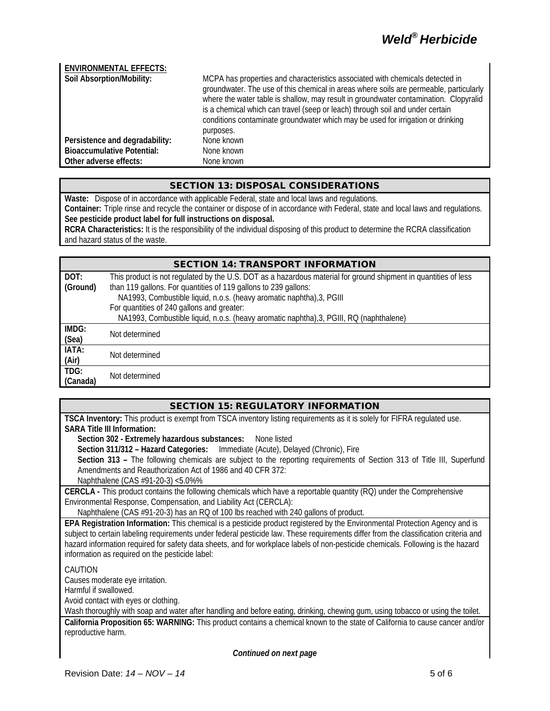# *Weld® Herbicide*

| <b>ENVIRONMENTAL EFFECTS:</b>     |                                                                                                                                                                                                                                                                                                                                                                                                                                                   |
|-----------------------------------|---------------------------------------------------------------------------------------------------------------------------------------------------------------------------------------------------------------------------------------------------------------------------------------------------------------------------------------------------------------------------------------------------------------------------------------------------|
| Soil Absorption/Mobility:         | MCPA has properties and characteristics associated with chemicals detected in<br>groundwater. The use of this chemical in areas where soils are permeable, particularly<br>where the water table is shallow, may result in groundwater contamination. Clopyralid<br>is a chemical which can travel (seep or leach) through soil and under certain<br>conditions contaminate groundwater which may be used for irrigation or drinking<br>purposes. |
| Persistence and degradability:    | None known                                                                                                                                                                                                                                                                                                                                                                                                                                        |
| <b>Bioaccumulative Potential:</b> | None known                                                                                                                                                                                                                                                                                                                                                                                                                                        |
| Other adverse effects:            | None known                                                                                                                                                                                                                                                                                                                                                                                                                                        |

#### SECTION 13: DISPOSAL CONSIDERATIONS

**Waste:** Dispose of in accordance with applicable Federal, state and local laws and regulations.

**Container:** Triple rinse and recycle the container or dispose of in accordance with Federal, state and local laws and regulations. **See pesticide product label for full instructions on disposal.**

**RCRA Characteristics:** It is the responsibility of the individual disposing of this product to determine the RCRA classification and hazard status of the waste.

#### SECTION 14: TRANSPORT INFORMATION

| DOT:<br>(Ground) | This product is not regulated by the U.S. DOT as a hazardous material for ground shipment in quantities of less<br>than 119 gallons. For quantities of 119 gallons to 239 gallons:<br>NA1993, Combustible liquid, n.o.s. (heavy aromatic naphtha), 3, PGIII<br>For quantities of 240 gallons and greater: |
|------------------|-----------------------------------------------------------------------------------------------------------------------------------------------------------------------------------------------------------------------------------------------------------------------------------------------------------|
|                  | NA1993, Combustible liquid, n.o.s. (heavy aromatic naphtha), 3, PGIII, RQ (naphthalene)                                                                                                                                                                                                                   |
| IMDG:<br>(Sea)   | Not determined                                                                                                                                                                                                                                                                                            |
| IATA:<br>(Air)   | Not determined                                                                                                                                                                                                                                                                                            |
| TDG:<br>(Canada) | Not determined                                                                                                                                                                                                                                                                                            |

#### SECTION 15: REGULATORY INFORMATION

**TSCA Inventory:** This product is exempt from TSCA inventory listing requirements as it is solely for FIFRA regulated use. **SARA Title III Information:**

**Section 302 - Extremely hazardous substances:** None listed

**Section 311/312 – Hazard Categories:** Immediate (Acute), Delayed (Chronic), Fire

**Section 313 –** The following chemicals are subject to the reporting requirements of Section 313 of Title III, Superfund Amendments and Reauthorization Act of 1986 and 40 CFR 372:

Naphthalene (CAS #91-20-3) <5.0%%

**CERCLA -** This product contains the following chemicals which have a reportable quantity (RQ) under the Comprehensive Environmental Response, Compensation, and Liability Act (CERCLA):

Naphthalene (CAS #91-20-3) has an RQ of 100 lbs reached with 240 gallons of product.

**EPA Registration Information:** This chemical is a pesticide product registered by the Environmental Protection Agency and is subject to certain labeling requirements under federal pesticide law. These requirements differ from the classification criteria and hazard information required for safety data sheets, and for workplace labels of non-pesticide chemicals. Following is the hazard information as required on the pesticide label:

CAUTION

Causes moderate eye irritation.

Harmful if swallowed.

Avoid contact with eyes or clothing.

Wash thoroughly with soap and water after handling and before eating, drinking, chewing gum, using tobacco or using the toilet.

**California Proposition 65: WARNING:** This product contains a chemical known to the state of California to cause cancer and/or reproductive harm.

*Continued on next page*